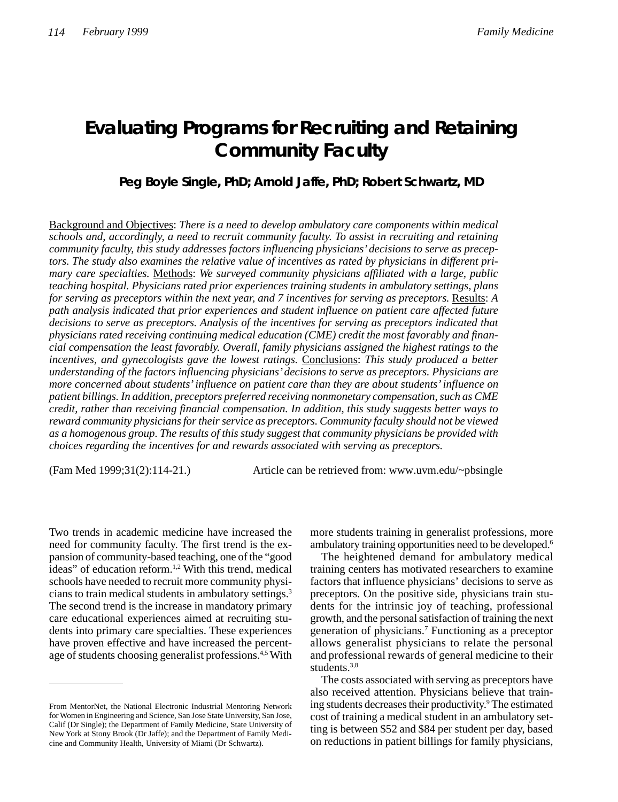# **Evaluating Programs for Recruiting and Retaining Community Faculty**

**Peg Boyle Single, PhD; Arnold Jaffe, PhD; Robert Schwartz, MD**

Background and Objectives: *There is a need to develop ambulatory care components within medical schools and, accordingly, a need to recruit community faculty. To assist in recruiting and retaining community faculty, this study addresses factors influencing physicians' decisions to serve as preceptors. The study also examines the relative value of incentives as rated by physicians in different primary care specialties.* Methods: *We surveyed community physicians affiliated with a large, public teaching hospital. Physicians rated prior experiences training students in ambulatory settings, plans for serving as preceptors within the next year, and 7 incentives for serving as preceptors.* Results: *A path analysis indicated that prior experiences and student influence on patient care affected future decisions to serve as preceptors. Analysis of the incentives for serving as preceptors indicated that physicians rated receiving continuing medical education (CME) credit the most favorably and financial compensation the least favorably. Overall, family physicians assigned the highest ratings to the incentives, and gynecologists gave the lowest ratings.* Conclusions: *This study produced a better understanding of the factors influencing physicians' decisions to serve as preceptors. Physicians are more concerned about students' influence on patient care than they are about students' influence on patient billings. In addition, preceptors preferred receiving nonmonetary compensation, such as CME credit, rather than receiving financial compensation. In addition, this study suggests better ways to reward community physicians for their service as preceptors. Community faculty should not be viewed as a homogenous group. The results of this study suggest that community physicians be provided with choices regarding the incentives for and rewards associated with serving as preceptors.*

(Fam Med 1999;31(2):114-21.) Article can be retrieved from: www.uvm.edu/~pbsingle

Two trends in academic medicine have increased the need for community faculty. The first trend is the expansion of community-based teaching, one of the "good ideas" of education reform.<sup>1,2</sup> With this trend, medical schools have needed to recruit more community physicians to train medical students in ambulatory settings.3 The second trend is the increase in mandatory primary care educational experiences aimed at recruiting students into primary care specialties. These experiences have proven effective and have increased the percentage of students choosing generalist professions.<sup>4,5</sup> With

more students training in generalist professions, more ambulatory training opportunities need to be developed.6

The heightened demand for ambulatory medical training centers has motivated researchers to examine factors that influence physicians' decisions to serve as preceptors. On the positive side, physicians train students for the intrinsic joy of teaching, professional growth, and the personal satisfaction of training the next generation of physicians.7 Functioning as a preceptor allows generalist physicians to relate the personal and professional rewards of general medicine to their students.<sup>3,8</sup>

The costs associated with serving as preceptors have also received attention. Physicians believe that training students decreases their productivity.<sup>9</sup> The estimated cost of training a medical student in an ambulatory setting is between \$52 and \$84 per student per day, based on reductions in patient billings for family physicians,

From MentorNet, the National Electronic Industrial Mentoring Network for Women in Engineering and Science, San Jose State University, San Jose, Calif (Dr Single); the Department of Family Medicine, State University of New York at Stony Brook (Dr Jaffe); and the Department of Family Medicine and Community Health, University of Miami (Dr Schwartz).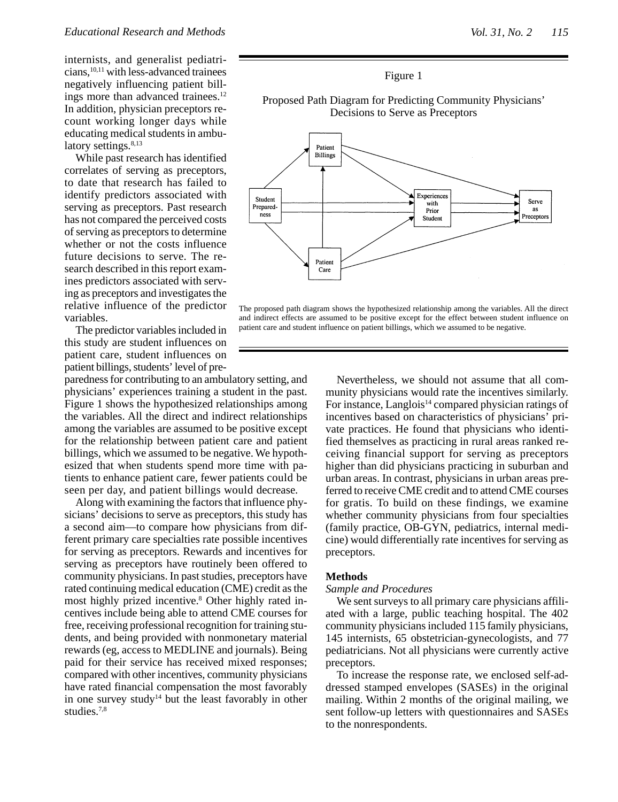internists, and generalist pediatricians,10,11 with less-advanced trainees negatively influencing patient billings more than advanced trainees.<sup>12</sup> In addition, physician preceptors recount working longer days while educating medical students in ambulatory settings.<sup>8,13</sup>

While past research has identified correlates of serving as preceptors, to date that research has failed to identify predictors associated with serving as preceptors. Past research has not compared the perceived costs of serving as preceptors to determine whether or not the costs influence future decisions to serve. The research described in this report examines predictors associated with serving as preceptors and investigates the relative influence of the predictor variables.

The predictor variables included in this study are student influences on patient care, student influences on patient billings, students' level of pre-

paredness for contributing to an ambulatory setting, and physicians' experiences training a student in the past. Figure 1 shows the hypothesized relationships among the variables. All the direct and indirect relationships among the variables are assumed to be positive except for the relationship between patient care and patient billings, which we assumed to be negative. We hypothesized that when students spend more time with patients to enhance patient care, fewer patients could be seen per day, and patient billings would decrease.

Along with examining the factors that influence physicians' decisions to serve as preceptors, this study has a second aim—to compare how physicians from different primary care specialties rate possible incentives for serving as preceptors. Rewards and incentives for serving as preceptors have routinely been offered to community physicians. In past studies, preceptors have rated continuing medical education (CME) credit as the most highly prized incentive.8 Other highly rated incentives include being able to attend CME courses for free, receiving professional recognition for training students, and being provided with nonmonetary material rewards (eg, access to MEDLINE and journals). Being paid for their service has received mixed responses; compared with other incentives, community physicians have rated financial compensation the most favorably in one survey study<sup>14</sup> but the least favorably in other studies.7,8



Proposed Path Diagram for Predicting Community Physicians' Decisions to Serve as Preceptors



The proposed path diagram shows the hypothesized relationship among the variables. All the direct and indirect effects are assumed to be positive except for the effect between student influence on patient care and student influence on patient billings, which we assumed to be negative.

Nevertheless, we should not assume that all community physicians would rate the incentives similarly. For instance, Langlois<sup>14</sup> compared physician ratings of incentives based on characteristics of physicians' private practices. He found that physicians who identified themselves as practicing in rural areas ranked receiving financial support for serving as preceptors higher than did physicians practicing in suburban and urban areas. In contrast, physicians in urban areas preferred to receive CME credit and to attend CME courses for gratis. To build on these findings, we examine whether community physicians from four specialties (family practice, OB-GYN, pediatrics, internal medicine) would differentially rate incentives for serving as preceptors.

### **Methods**

# *Sample and Procedures*

We sent surveys to all primary care physicians affiliated with a large, public teaching hospital. The 402 community physicians included 115 family physicians, 145 internists, 65 obstetrician-gynecologists, and 77 pediatricians. Not all physicians were currently active preceptors.

To increase the response rate, we enclosed self-addressed stamped envelopes (SASEs) in the original mailing. Within 2 months of the original mailing, we sent follow-up letters with questionnaires and SASEs to the nonrespondents.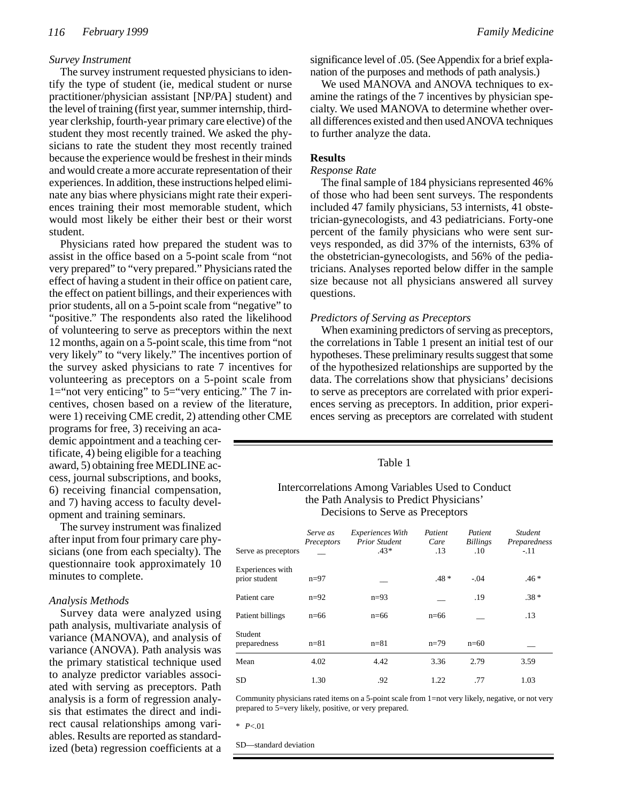# *Survey Instrument*

The survey instrument requested physicians to identify the type of student (ie, medical student or nurse practitioner/physician assistant [NP/PA] student) and the level of training (first year, summer internship, thirdyear clerkship, fourth-year primary care elective) of the student they most recently trained. We asked the physicians to rate the student they most recently trained because the experience would be freshest in their minds and would create a more accurate representation of their experiences. In addition, these instructions helped eliminate any bias where physicians might rate their experiences training their most memorable student, which would most likely be either their best or their worst student.

Physicians rated how prepared the student was to assist in the office based on a 5-point scale from "not very prepared" to "very prepared." Physicians rated the effect of having a student in their office on patient care, the effect on patient billings, and their experiences with prior students, all on a 5-point scale from "negative" to "positive." The respondents also rated the likelihood of volunteering to serve as preceptors within the next 12 months, again on a 5-point scale, this time from "not very likely" to "very likely." The incentives portion of the survey asked physicians to rate 7 incentives for volunteering as preceptors on a 5-point scale from 1="not very enticing" to  $5=$ "very enticing." The 7 incentives, chosen based on a review of the literature, were 1) receiving CME credit, 2) attending other CME

programs for free, 3) receiving an academic appointment and a teaching certificate, 4) being eligible for a teaching award, 5) obtaining free MEDLINE access, journal subscriptions, and books, 6) receiving financial compensation, and 7) having access to faculty development and training seminars.

The survey instrument was finalized after input from four primary care physicians (one from each specialty). The questionnaire took approximately 10 minutes to complete.

### *Analysis Methods*

Survey data were analyzed using path analysis, multivariate analysis of variance (MANOVA), and analysis of variance (ANOVA). Path analysis was the primary statistical technique used to analyze predictor variables associated with serving as preceptors. Path analysis is a form of regression analysis that estimates the direct and indirect causal relationships among variables. Results are reported as standardized (beta) regression coefficients at a significance level of .05. (See Appendix for a brief explanation of the purposes and methods of path analysis.)

We used MANOVA and ANOVA techniques to examine the ratings of the 7 incentives by physician specialty. We used MANOVA to determine whether overall differences existed and then used ANOVA techniques to further analyze the data.

# **Results**

## *Response Rate*

The final sample of 184 physicians represented 46% of those who had been sent surveys. The respondents included 47 family physicians, 53 internists, 41 obstetrician-gynecologists, and 43 pediatricians. Forty-one percent of the family physicians who were sent surveys responded, as did 37% of the internists, 63% of the obstetrician-gynecologists, and 56% of the pediatricians. Analyses reported below differ in the sample size because not all physicians answered all survey questions.

### *Predictors of Serving as Preceptors*

When examining predictors of serving as preceptors, the correlations in Table 1 present an initial test of our hypotheses. These preliminary results suggest that some of the hypothesized relationships are supported by the data. The correlations show that physicians' decisions to serve as preceptors are correlated with prior experiences serving as preceptors. In addition, prior experiences serving as preceptors are correlated with student

### Table 1

# Intercorrelations Among Variables Used to Conduct the Path Analysis to Predict Physicians' Decisions to Serve as Preceptors

| Serve as preceptors               | Serve as<br>Preceptors | <i>Experiences With</i><br><b>Prior Student</b><br>$.43*$ | Patient<br>Care<br>.13 | Patient<br><b>Billings</b><br>.10 | <b>Student</b><br>Preparedness<br>$-.11$ |
|-----------------------------------|------------------------|-----------------------------------------------------------|------------------------|-----------------------------------|------------------------------------------|
| Experiences with<br>prior student | $n=97$                 |                                                           | $.48*$                 | $-.04$                            | $.46*$                                   |
| Patient care                      | $n=92$                 | $n=93$                                                    |                        | .19                               | $.38*$                                   |
| Patient billings                  | $n=66$                 | $n=66$                                                    | $n=66$                 |                                   | .13                                      |
| Student<br>preparedness           | $n = 81$               | $n = 81$                                                  | $n=79$                 | $n=60$                            |                                          |
| Mean                              | 4.02                   | 4.42                                                      | 3.36                   | 2.79                              | 3.59                                     |
| <b>SD</b>                         | 1.30                   | .92                                                       | 1.22                   | .77                               | 1.03                                     |

Community physicians rated items on a 5-point scale from 1=not very likely, negative, or not very prepared to 5=very likely, positive, or very prepared.

\* *P*<.01

SD—standard deviation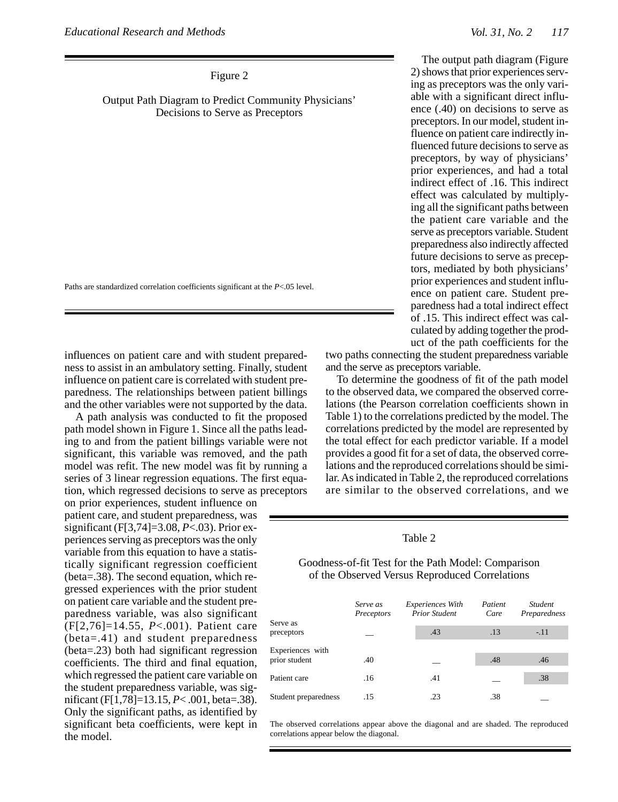Figure 2

Output Path Diagram to Predict Community Physicians' Decisions to Serve as Preceptors

Paths are standardized correlation coefficients significant at the *P*<.05 level.

influences on patient care and with student preparedness to assist in an ambulatory setting. Finally, student influence on patient care is correlated with student preparedness. The relationships between patient billings and the other variables were not supported by the data.

A path analysis was conducted to fit the proposed path model shown in Figure 1. Since all the paths leading to and from the patient billings variable were not significant, this variable was removed, and the path model was refit. The new model was fit by running a series of 3 linear regression equations. The first equation, which regressed decisions to serve as preceptors

on prior experiences, student influence on patient care, and student preparedness, was significant (F[3,74]=3.08, *P*<.03). Prior experiences serving as preceptors was the only variable from this equation to have a statistically significant regression coefficient (beta=.38). The second equation, which regressed experiences with the prior student on patient care variable and the student preparedness variable, was also significant (F[2,76]=14.55, *P*<.001). Patient care (beta=.41) and student preparedness (beta=.23) both had significant regression coefficients. The third and final equation, which regressed the patient care variable on the student preparedness variable, was significant (F[1,78]=13.15, *P*< .001, beta=.38). Only the significant paths, as identified by significant beta coefficients, were kept in the model.

The output path diagram (Figure 2) shows that prior experiences serving as preceptors was the only variable with a significant direct influence (.40) on decisions to serve as preceptors. In our model, student influence on patient care indirectly influenced future decisions to serve as preceptors, by way of physicians' prior experiences, and had a total indirect effect of .16. This indirect effect was calculated by multiplying all the significant paths between the patient care variable and the serve as preceptors variable. Student preparedness also indirectly affected future decisions to serve as preceptors, mediated by both physicians' prior experiences and student influence on patient care. Student preparedness had a total indirect effect of .15. This indirect effect was calculated by adding together the product of the path coefficients for the

two paths connecting the student preparedness variable and the serve as preceptors variable.

To determine the goodness of fit of the path model to the observed data, we compared the observed correlations (the Pearson correlation coefficients shown in Table 1) to the correlations predicted by the model. The correlations predicted by the model are represented by the total effect for each predictor variable. If a model provides a good fit for a set of data, the observed correlations and the reproduced correlations should be similar. As indicated in Table 2, the reproduced correlations are similar to the observed correlations, and we

### Table 2

Goodness-of-fit Test for the Path Model: Comparison of the Observed Versus Reproduced Correlations

| Serve as                          | Serve as<br>Preceptors | <b>Experiences With</b><br><b>Prior Student</b> | Patient<br>Care | <b>Student</b><br>Preparedness |
|-----------------------------------|------------------------|-------------------------------------------------|-----------------|--------------------------------|
| preceptors                        |                        | .43                                             | .13             | $-.11$                         |
| Experiences with<br>prior student | .40                    |                                                 | .48             | .46                            |
| Patient care                      | .16                    | .41                                             |                 | .38                            |
| Student preparedness              | .15                    | .23                                             | .38             |                                |

The observed correlations appear above the diagonal and are shaded. The reproduced correlations appear below the diagonal.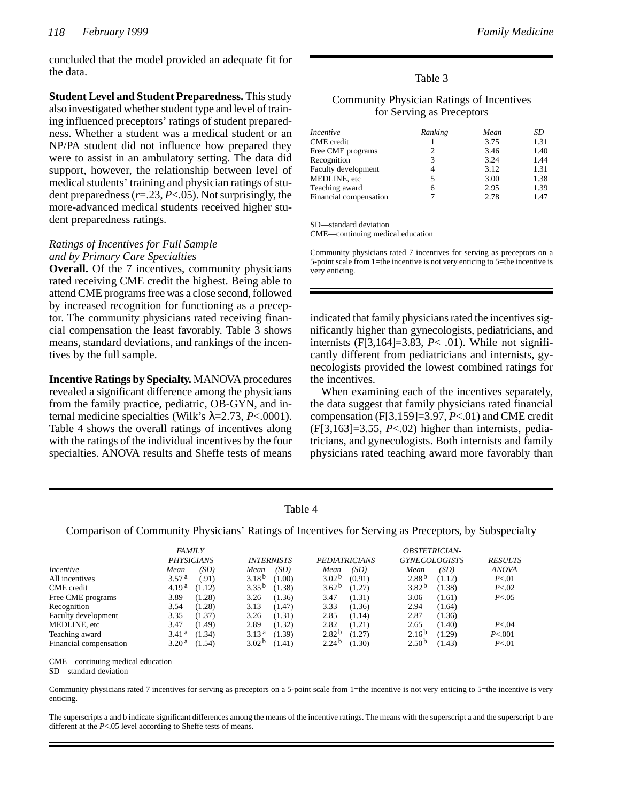concluded that the model provided an adequate fit for the data.

**Student Level and Student Preparedness.** This study also investigated whether student type and level of training influenced preceptors' ratings of student preparedness. Whether a student was a medical student or an NP/PA student did not influence how prepared they were to assist in an ambulatory setting. The data did support, however, the relationship between level of medical students' training and physician ratings of student preparedness (*r*=.23, *P*<.05). Not surprisingly, the more-advanced medical students received higher student preparedness ratings.

# *Ratings of Incentives for Full Sample and by Primary Care Specialties*

**Overall.** Of the 7 incentives, community physicians rated receiving CME credit the highest. Being able to attend CME programs free was a close second, followed by increased recognition for functioning as a preceptor. The community physicians rated receiving financial compensation the least favorably. Table 3 shows means, standard deviations, and rankings of the incentives by the full sample.

**Incentive Ratings by Specialty.** MANOVA procedures revealed a significant difference among the physicians from the family practice, pediatric, OB-GYN, and internal medicine specialties (Wilk's  $\lambda$ =2.73, *P*<.0001). Table 4 shows the overall ratings of incentives along with the ratings of the individual incentives by the four specialties. ANOVA results and Sheffe tests of means

# Table 3

# Community Physician Ratings of Incentives for Serving as Preceptors

| Incentive              | Ranking | Mean | SD   |
|------------------------|---------|------|------|
| <b>CME</b> credit      |         | 3.75 | 1.31 |
| Free CME programs      | 2       | 3.46 | 1.40 |
| Recognition            | 3       | 3.24 | 1.44 |
| Faculty development    | 4       | 3.12 | 1.31 |
| MEDLINE, etc           | 5       | 3.00 | 1.38 |
| Teaching award         | 6       | 2.95 | 1.39 |
| Financial compensation |         | 2.78 | 1.47 |

SD—standard deviation

CME—continuing medical education

Community physicians rated 7 incentives for serving as preceptors on a 5-point scale from 1=the incentive is not very enticing to 5=the incentive is very enticing.

indicated that family physicians rated the incentives significantly higher than gynecologists, pediatricians, and internists (F[3,164]=3.83, *P*< .01). While not significantly different from pediatricians and internists, gynecologists provided the lowest combined ratings for the incentives.

When examining each of the incentives separately, the data suggest that family physicians rated financial compensation (F[3,159]=3.97, *P*<.01) and CME credit (F[3,163]=3.55, *P*<.02) higher than internists, pediatricians, and gynecologists. Both internists and family physicians rated teaching award more favorably than

| lable |  |
|-------|--|
|-------|--|

Comparison of Community Physicians' Ratings of Incentives for Serving as Preceptors, by Subspecialty

| <b>FAMILY</b>          |                   |        |                   | <b>OBSTETRICIAN-</b> |                      |        |                      |        |                |
|------------------------|-------------------|--------|-------------------|----------------------|----------------------|--------|----------------------|--------|----------------|
|                        | <b>PHYSICIANS</b> |        |                   | <b>INTERNISTS</b>    | <b>PEDIATRICIANS</b> |        | <b>GYNECOLOGISTS</b> |        | <b>RESULTS</b> |
| <i>Incentive</i>       | Mean              | (SD)   | Mean              | (SD)                 | Mean                 | (SD)   | Mean                 | (SD)   | <b>ANOVA</b>   |
| All incentives         | 3.57 <sup>a</sup> | (.91)  | 3.18 <sup>b</sup> | (1.00)               | 3.02 <sup>b</sup>    | (0.91) | 2.88 <sup>b</sup>    | (1.12) | P<.01          |
| CME credit             | 4.19 <sup>a</sup> | (1.12) | 3.35 <sup>b</sup> | (1.38)               | 3.62 <sup>b</sup>    | (1.27) | 3.82 <sup>b</sup>    | (1.38) | P < 02         |
| Free CME programs      | 3.89              | (1.28) | 3.26              | (1.36)               | 3.47                 | (1.31) | 3.06                 | (1.61) | P < 0.05       |
| Recognition            | 3.54              | (1.28) | 3.13              | (1.47)               | 3.33                 | (1.36) | 2.94                 | (1.64) |                |
| Faculty development    | 3.35              | (1.37) | 3.26              | (1.31)               | 2.85                 | (1.14) | 2.87                 | (1.36) |                |
| MEDLINE, etc           | 3.47              | (1.49) | 2.89              | (1.32)               | 2.82                 | (1.21) | 2.65                 | (1.40) | P < 0.04       |
| Teaching award         | 3.41 <sup>a</sup> | (1.34) | 3.13 <sup>a</sup> | (1.39)               | 2.82 <sup>b</sup>    | (1.27) | 2.16 <sup>b</sup>    | (1.29) | P < 001        |
| Financial compensation | 3.20 <sup>a</sup> | (1.54) | 3.02 <sup>b</sup> | (1.41)               | 2.24 <sup>b</sup>    | (1.30) | 2.50 <sup>b</sup>    | (1.43) | P < 01         |

CME—continuing medical education

SD—standard deviation

Community physicians rated 7 incentives for serving as preceptors on a 5-point scale from 1=the incentive is not very enticing to 5=the incentive is very enticing.

The superscripts a and b indicate significant differences among the means of the incentive ratings. The means with the superscript a and the superscript b are different at the *P*<.05 level according to Sheffe tests of means.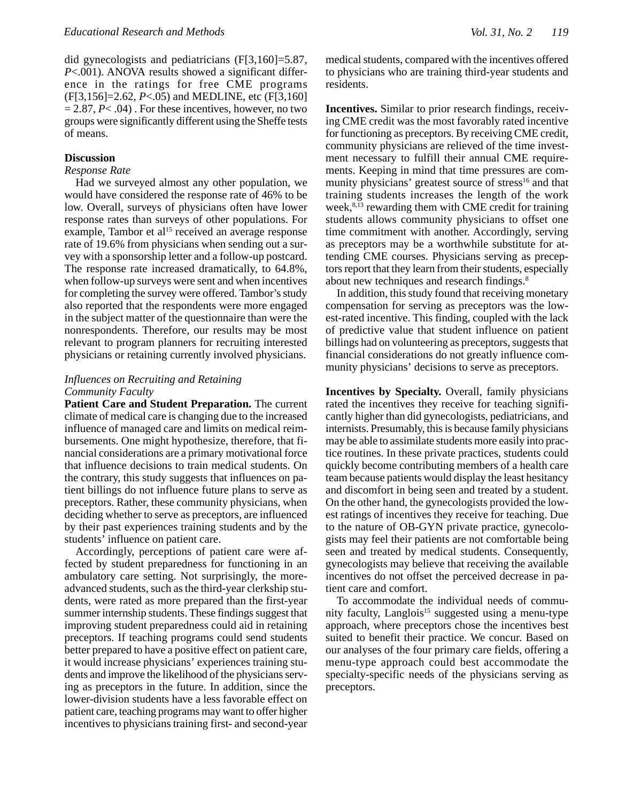did gynecologists and pediatricians (F[3,160]=5.87, *P*<.001). ANOVA results showed a significant difference in the ratings for free CME programs (F[3,156]=2.62, *P*<.05) and MEDLINE, etc (F[3,160]  $= 2.87, P < .04$ ). For these incentives, however, no two groups were significantly different using the Sheffe tests of means.

### **Discussion**

### *Response Rate*

Had we surveyed almost any other population, we would have considered the response rate of 46% to be low. Overall, surveys of physicians often have lower response rates than surveys of other populations. For example, Tambor et al<sup>15</sup> received an average response rate of 19.6% from physicians when sending out a survey with a sponsorship letter and a follow-up postcard. The response rate increased dramatically, to 64.8%, when follow-up surveys were sent and when incentives for completing the survey were offered. Tambor's study also reported that the respondents were more engaged in the subject matter of the questionnaire than were the nonrespondents. Therefore, our results may be most relevant to program planners for recruiting interested physicians or retaining currently involved physicians.

# *Influences on Recruiting and Retaining Community Faculty*

**Patient Care and Student Preparation.** The current climate of medical care is changing due to the increased influence of managed care and limits on medical reimbursements. One might hypothesize, therefore, that financial considerations are a primary motivational force that influence decisions to train medical students. On the contrary, this study suggests that influences on patient billings do not influence future plans to serve as preceptors. Rather, these community physicians, when deciding whether to serve as preceptors, are influenced by their past experiences training students and by the students' influence on patient care.

Accordingly, perceptions of patient care were affected by student preparedness for functioning in an ambulatory care setting. Not surprisingly, the moreadvanced students, such as the third-year clerkship students, were rated as more prepared than the first-year summer internship students. These findings suggest that improving student preparedness could aid in retaining preceptors. If teaching programs could send students better prepared to have a positive effect on patient care, it would increase physicians' experiences training students and improve the likelihood of the physicians serving as preceptors in the future. In addition, since the lower-division students have a less favorable effect on patient care, teaching programs may want to offer higher incentives to physicians training first- and second-year medical students, compared with the incentives offered to physicians who are training third-year students and residents.

**Incentives.** Similar to prior research findings, receiving CME credit was the most favorably rated incentive for functioning as preceptors. By receiving CME credit, community physicians are relieved of the time investment necessary to fulfill their annual CME requirements. Keeping in mind that time pressures are community physicians' greatest source of stress<sup>16</sup> and that training students increases the length of the work week, $8,13$  rewarding them with CME credit for training students allows community physicians to offset one time commitment with another. Accordingly, serving as preceptors may be a worthwhile substitute for attending CME courses. Physicians serving as preceptors report that they learn from their students, especially about new techniques and research findings.<sup>8</sup>

In addition, this study found that receiving monetary compensation for serving as preceptors was the lowest-rated incentive. This finding, coupled with the lack of predictive value that student influence on patient billings had on volunteering as preceptors, suggests that financial considerations do not greatly influence community physicians' decisions to serve as preceptors.

**Incentives by Specialty.** Overall, family physicians rated the incentives they receive for teaching significantly higher than did gynecologists, pediatricians, and internists. Presumably, this is because family physicians may be able to assimilate students more easily into practice routines. In these private practices, students could quickly become contributing members of a health care team because patients would display the least hesitancy and discomfort in being seen and treated by a student. On the other hand, the gynecologists provided the lowest ratings of incentives they receive for teaching. Due to the nature of OB-GYN private practice, gynecologists may feel their patients are not comfortable being seen and treated by medical students. Consequently, gynecologists may believe that receiving the available incentives do not offset the perceived decrease in patient care and comfort.

To accommodate the individual needs of community faculty, Langlois<sup>15</sup> suggested using a menu-type approach, where preceptors chose the incentives best suited to benefit their practice. We concur. Based on our analyses of the four primary care fields, offering a menu-type approach could best accommodate the specialty-specific needs of the physicians serving as preceptors.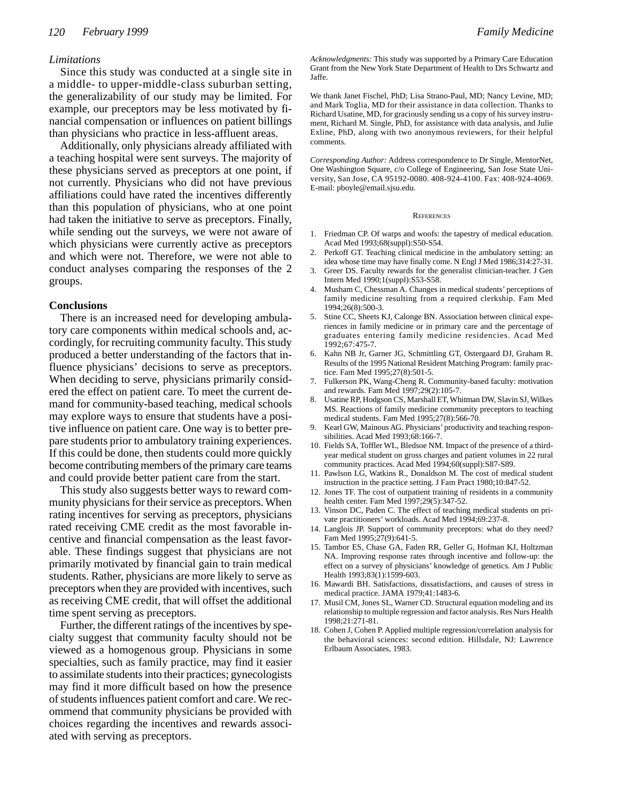# *Limitations*

Since this study was conducted at a single site in a middle- to upper-middle-class suburban setting, the generalizability of our study may be limited. For example, our preceptors may be less motivated by financial compensation or influences on patient billings than physicians who practice in less-affluent areas.

Additionally, only physicians already affiliated with a teaching hospital were sent surveys. The majority of these physicians served as preceptors at one point, if not currently. Physicians who did not have previous affiliations could have rated the incentives differently than this population of physicians, who at one point had taken the initiative to serve as preceptors. Finally, while sending out the surveys, we were not aware of which physicians were currently active as preceptors and which were not. Therefore, we were not able to conduct analyses comparing the responses of the 2 groups.

### **Conclusions**

There is an increased need for developing ambulatory care components within medical schools and, accordingly, for recruiting community faculty. This study produced a better understanding of the factors that influence physicians' decisions to serve as preceptors. When deciding to serve, physicians primarily considered the effect on patient care. To meet the current demand for community-based teaching, medical schools may explore ways to ensure that students have a positive influence on patient care. One way is to better prepare students prior to ambulatory training experiences. If this could be done, then students could more quickly become contributing members of the primary care teams and could provide better patient care from the start.

This study also suggests better ways to reward community physicians for their service as preceptors. When rating incentives for serving as preceptors, physicians rated receiving CME credit as the most favorable incentive and financial compensation as the least favorable. These findings suggest that physicians are not primarily motivated by financial gain to train medical students. Rather, physicians are more likely to serve as preceptors when they are provided with incentives, such as receiving CME credit, that will offset the additional time spent serving as preceptors.

Further, the different ratings of the incentives by specialty suggest that community faculty should not be viewed as a homogenous group. Physicians in some specialties, such as family practice, may find it easier to assimilate students into their practices; gynecologists may find it more difficult based on how the presence of students influences patient comfort and care. We recommend that community physicians be provided with choices regarding the incentives and rewards associated with serving as preceptors.

*Acknowledgments:* This study was supported by a Primary Care Education Grant from the New York State Department of Health to Drs Schwartz and Jaffe.

We thank Janet Fischel, PhD; Lisa Strano-Paul, MD; Nancy Levine, MD; and Mark Toglia, MD for their assistance in data collection. Thanks to Richard Usatine, MD, for graciously sending us a copy of his survey instrument, Richard M. Single, PhD, for assistance with data analysis, and Julie Exline, PhD, along with two anonymous reviewers, for their helpful comments.

*Corresponding Author:* Address correspondence to Dr Single, MentorNet, One Washington Square, c/o College of Engineering, San Jose State University, San Jose, CA 95192-0080. 408-924-4100. Fax: 408-924-4069. E-mail: pboyle@email.sjsu.edu.

#### **REFERENCES**

- 1. Friedman CP. Of warps and woofs: the tapestry of medical education. Acad Med 1993;68(suppl):S50-S54.
- 2. Perkoff GT. Teaching clinical medicine in the ambulatory setting: an idea whose time may have finally come. N Engl J Med 1986;314:27-31.
- 3. Greer DS. Faculty rewards for the generalist clinician-teacher. J Gen Intern Med 1990;1(suppl):S53-S58.
- 4. Musham C, Chessman A. Changes in medical students' perceptions of family medicine resulting from a required clerkship. Fam Med 1994;26(8):500-3.
- 5. Stine CC, Sheets KJ, Calonge BN. Association between clinical experiences in family medicine or in primary care and the percentage of graduates entering family medicine residencies. Acad Med 1992;67:475-7.
- 6. Kahn NB Jr, Garner JG, Schmittling GT, Ostergaard DJ, Graham R. Results of the 1995 National Resident Matching Program: family practice. Fam Med 1995;27(8):501-5.
- 7. Fulkerson PK, Wang-Cheng R. Community-based faculty: motivation and rewards. Fam Med 1997;29(2):105-7.
- 8. Usatine RP, Hodgson CS, Marshall ET, Whitman DW, Slavin SJ, Wilkes MS. Reactions of family medicine community preceptors to teaching medical students. Fam Med 1995;27(8):566-70.
- 9. Kearl GW, Mainous AG. Physicians' productivity and teaching responsibilities. Acad Med 1993;68:166-7.
- 10. Fields SA, Toffler WL, Bledsoe NM. Impact of the presence of a thirdyear medical student on gross charges and patient volumes in 22 rural community practices. Acad Med 1994;60(suppl):S87-S89.
- 11. Pawlson LG, Watkins R., Donaldson M. The cost of medical student instruction in the practice setting. J Fam Pract 1980;10:847-52.
- 12. Jones TF. The cost of outpatient training of residents in a community health center. Fam Med 1997;29(5):347-52.
- 13. Vinson DC, Paden C. The effect of teaching medical students on private practitioners' workloads. Acad Med 1994;69:237-8.
- 14. Langlois JP. Support of community preceptors: what do they need? Fam Med 1995;27(9):641-5.
- 15. Tambor ES, Chase GA, Faden RR, Geller G, Hofman KJ, Holtzman NA. Improving response rates through incentive and follow-up: the effect on a survey of physicians' knowledge of genetics. Am J Public Health 1993;83(1):1599-603.
- 16. Mawardi BH. Satisfactions, dissatisfactions, and causes of stress in medical practice. JAMA 1979;41:1483-6.
- 17. Musil CM, Jones SL, Warner CD. Structural equation modeling and its relationship to multiple regression and factor analysis. Res Nurs Health 1998;21:271-81.
- 18. Cohen J, Cohen P. Applied multiple regression/correlation analysis for the behavioral sciences: second edition. Hillsdale, NJ: Lawrence Erlbaum Associates, 1983.